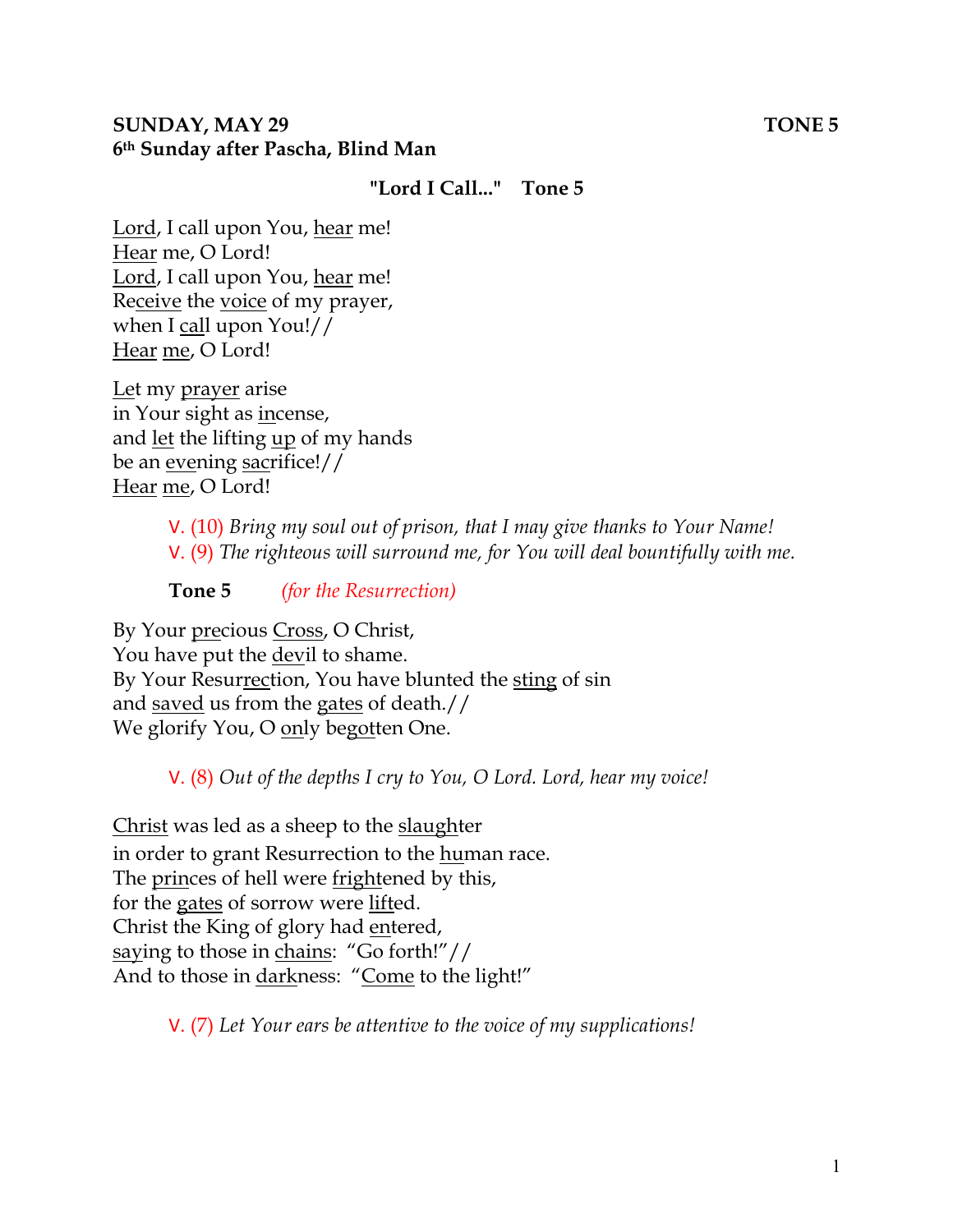#### **SUNDAY, MAY 29 TONE 5 6th Sunday after Pascha, Blind Man**

#### **"Lord I Call..." Tone 5**

Lord, I call upon You, hear me! Hear me, O Lord! Lord, I call upon You, hear me! Receive the voice of my prayer, when I call upon You!// Hear me, O Lord!

Let my prayer arise in Your sight as incense, and let the lifting up of my hands be an evening sacrifice!// Hear me, O Lord!

> V. (10) *Bring my soul out of prison, that I may give thanks to Your Name!*  V. (9) *The righteous will surround me, for You will deal bountifully with me.*

**Tone 5** *(for the Resurrection)* 

By Your precious Cross, O Christ, You have put the devil to shame. By Your Resurrection, You have blunted the sting of sin and saved us from the gates of death.// We glorify You, O only begotten One.

V. (8) *Out of the depths I cry to You, O Lord. Lord, hear my voice!* 

Christ was led as a sheep to the slaughter in order to grant Resurrection to the human race. The princes of hell were frightened by this, for the gates of sorrow were lifted. Christ the King of glory had entered, saying to those in chains: "Go forth!"// And to those in darkness: "Come to the light!"

V. (7) *Let Your ears be attentive to the voice of my supplications!*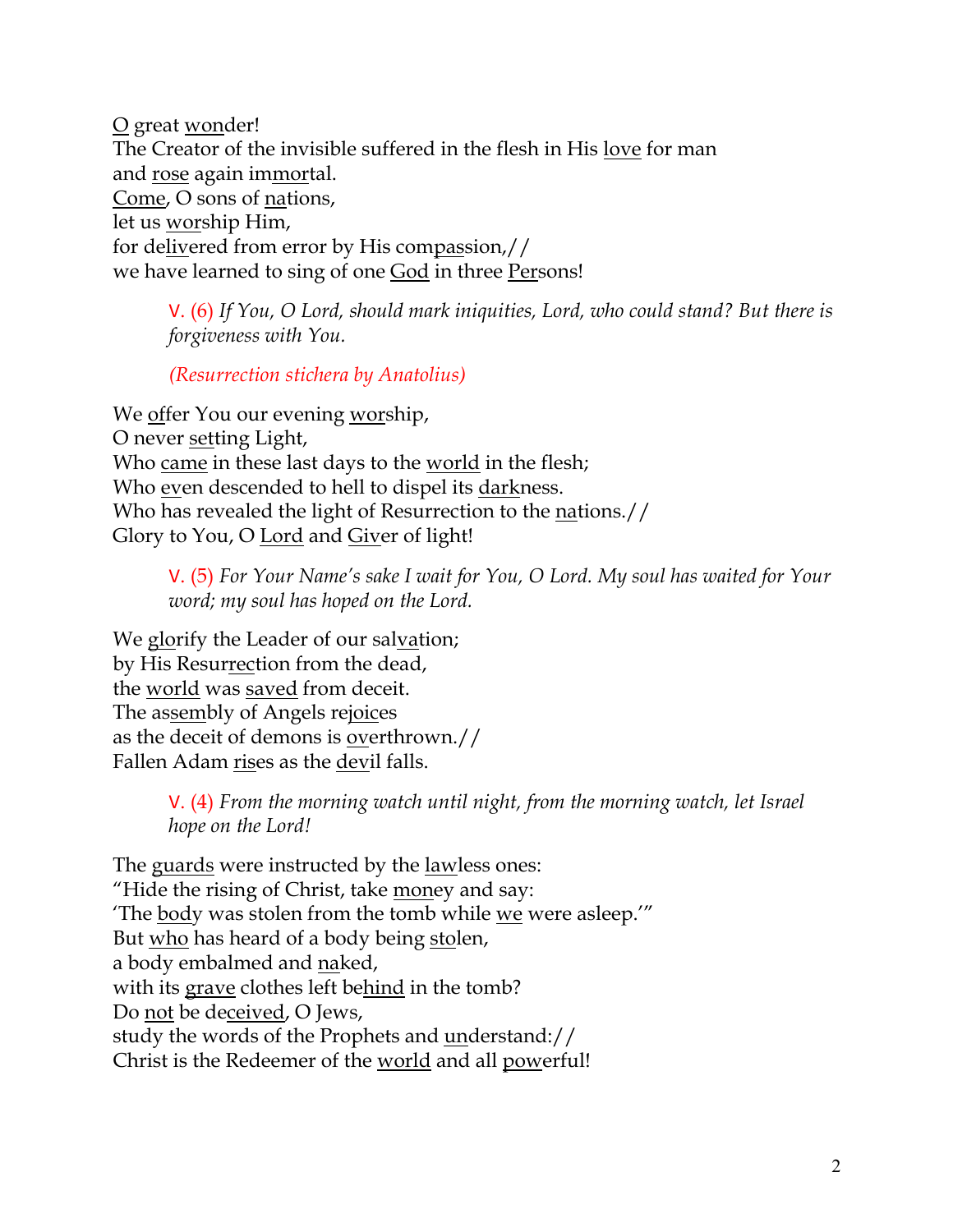O great wonder! The Creator of the invisible suffered in the flesh in His love for man and rose again immortal. Come, O sons of nations, let us worship Him, for delivered from error by His compassion,// we have learned to sing of one God in three Persons!

V. (6) *If You, O Lord, should mark iniquities, Lord, who could stand? But there is forgiveness with You.* 

*(Resurrection stichera by Anatolius)*

We offer You our evening worship, O never setting Light, Who came in these last days to the world in the flesh; Who even descended to hell to dispel its darkness. Who has revealed the light of Resurrection to the nations.// Glory to You, O Lord and Giver of light!

> V. (5) *For Your Name's sake I wait for You, O Lord. My soul has waited for Your word; my soul has hoped on the Lord.*

We glorify the Leader of our salvation; by His Resurrection from the dead, the world was saved from deceit. The assembly of Angels rejoices as the deceit of demons is overthrown.// Fallen Adam rises as the devil falls.

> V. (4) *From the morning watch until night, from the morning watch, let Israel hope on the Lord!*

The guards were instructed by the <u>lawless</u> ones: "Hide the rising of Christ, take money and say: 'The body was stolen from the tomb while we were asleep.'" But who has heard of a body being stolen, a body embalmed and naked, with its grave clothes left behind in the tomb? Do not be deceived, O Jews, study the words of the Prophets and understand:// Christ is the Redeemer of the world and all powerful!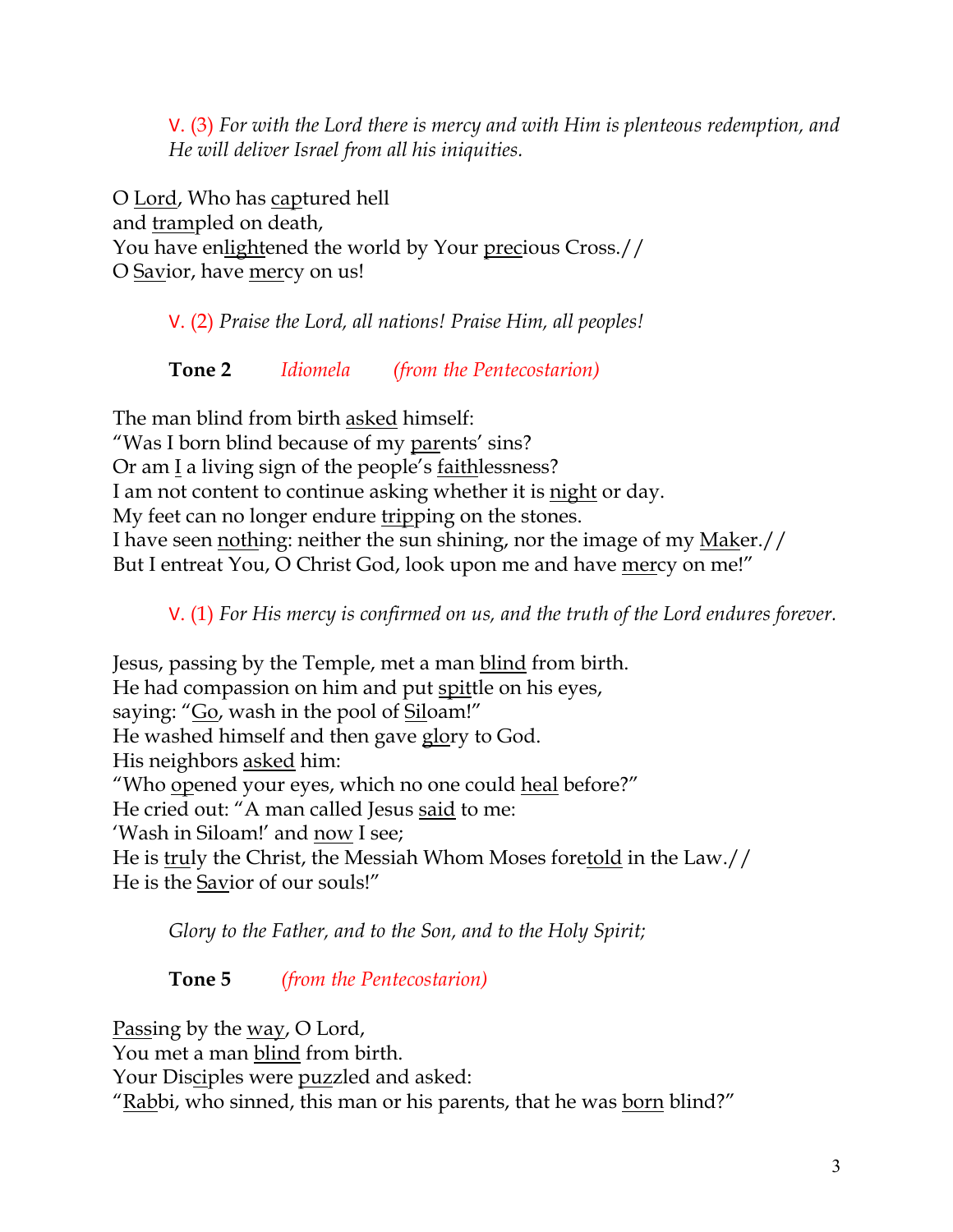V. (3) *For with the Lord there is mercy and with Him is plenteous redemption, and He will deliver Israel from all his iniquities.*

O Lord, Who has captured hell and trampled on death, You have enlightened the world by Your precious Cross.// O Savior, have mercy on us!

V. (2) *Praise the Lord, all nations! Praise Him, all peoples!*

**Tone 2** *Idiomela (from the Pentecostarion)*

The man blind from birth asked himself:

"Was I born blind because of my parents' sins?

Or am I a living sign of the people's faithlessness?

I am not content to continue asking whether it is night or day.

My feet can no longer endure tripping on the stones.

I have seen nothing: neither the sun shining, nor the image of my Maker.// But I entreat You, O Christ God, look upon me and have mercy on me!"

V. (1) *For His mercy is confirmed on us, and the truth of the Lord endures forever.* 

Jesus, passing by the Temple, met a man blind from birth. He had compassion on him and put spittle on his eyes, saying: "Go, wash in the pool of Siloam!" He washed himself and then gave glory to God. His neighbors asked him: "Who opened your eyes, which no one could heal before?" He cried out: "A man called Jesus said to me: 'Wash in Siloam!' and now I see; He is truly the Christ, the Messiah Whom Moses foretold in the Law.// He is the **Savior** of our souls!"

*Glory to the Father, and to the Son, and to the Holy Spirit;*

**Tone 5** *(from the Pentecostarion)*

Passing by the way, O Lord, You met a man blind from birth. Your Disciples were puzzled and asked: "Rabbi, who sinned, this man or his parents, that he was born blind?"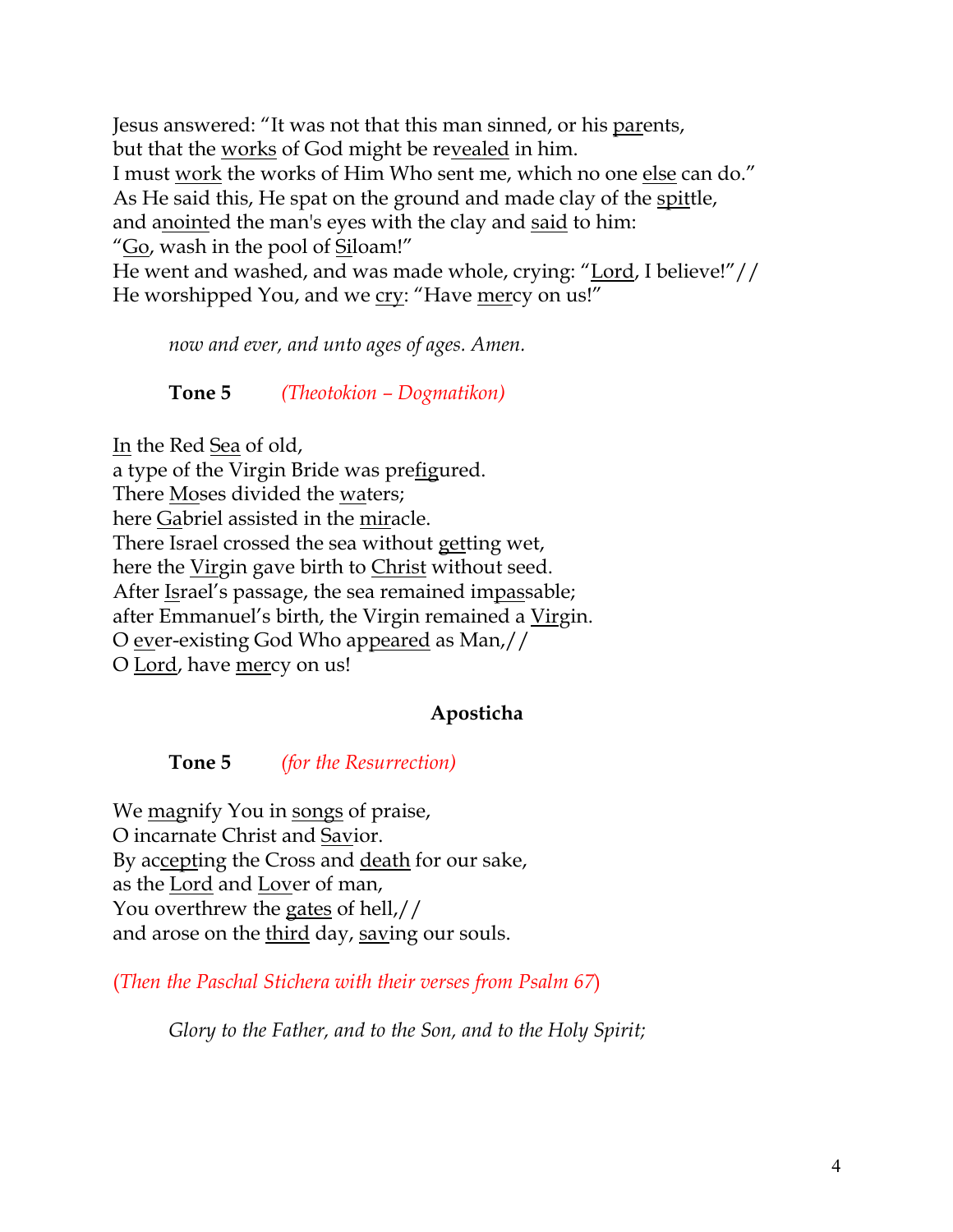Jesus answered: "It was not that this man sinned, or his parents, but that the works of God might be revealed in him. I must work the works of Him Who sent me, which no one else can do." As He said this, He spat on the ground and made clay of the spittle, and anointed the man's eyes with the clay and said to him: "Go, wash in the pool of Siloam!" He went and washed, and was made whole, crying: "Lord, I believe!"//

He worshipped You, and we cry: "Have mercy on us!"

*now and ever, and unto ages of ages. Amen.* 

**Tone 5** *(Theotokion – Dogmatikon)*

In the Red Sea of old, a type of the Virgin Bride was prefigured. There Moses divided the waters; here Gabriel assisted in the miracle. There Israel crossed the sea without getting wet, here the Virgin gave birth to Christ without seed. After Israel's passage, the sea remained impassable; after Emmanuel's birth, the Virgin remained a Virgin. O ever-existing God Who appeared as Man,// O Lord, have mercy on us!

### **Aposticha**

**Tone 5** *(for the Resurrection)*

We <u>mag</u>nify You in songs of praise, O incarnate Christ and Savior. By accepting the Cross and death for our sake, as the Lord and Lover of man, You overthrew the gates of hell,// and arose on the third day, saving our souls.

(*Then the Paschal Stichera with their verses from Psalm 67*)

*Glory to the Father, and to the Son, and to the Holy Spirit;*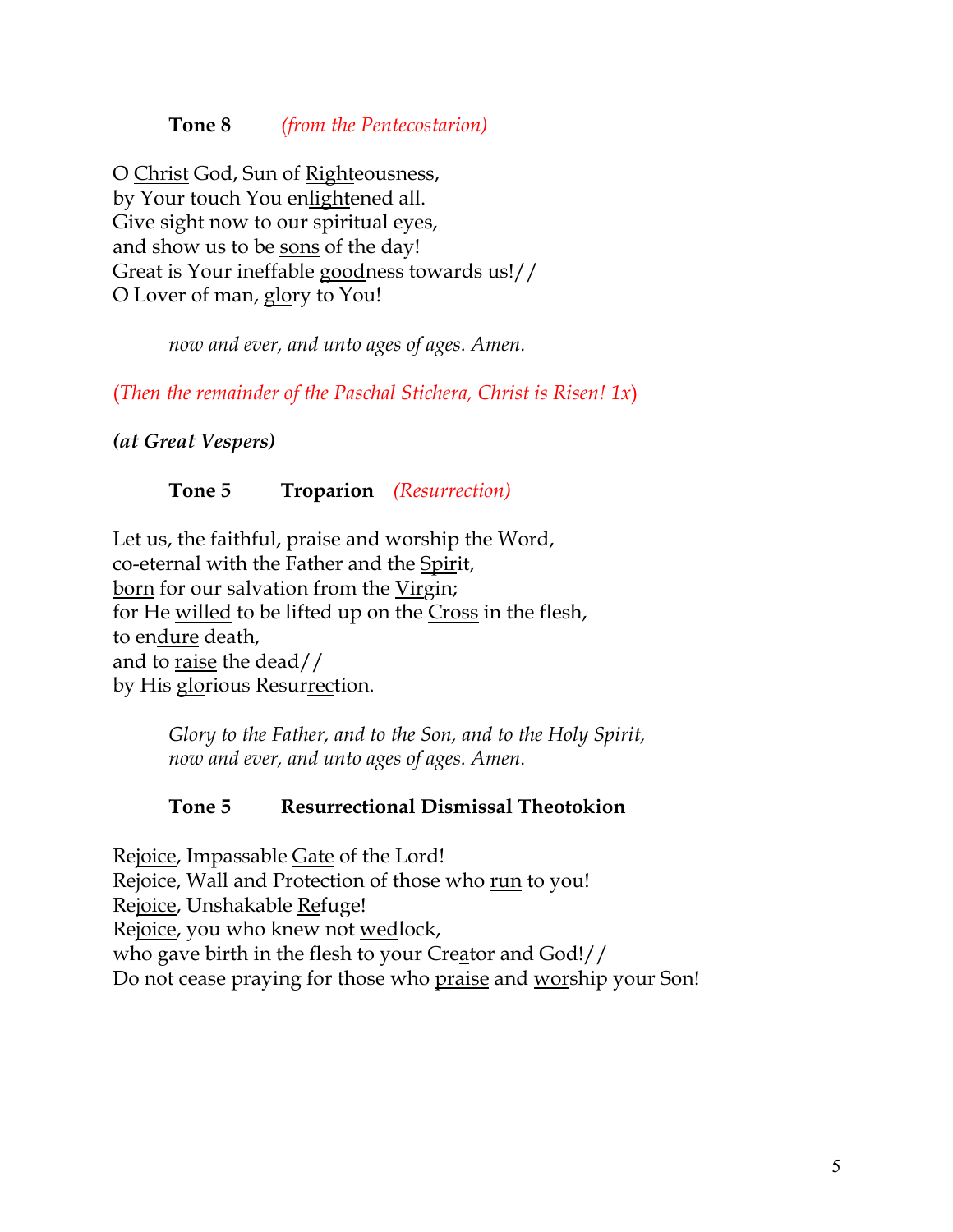#### **Tone 8** *(from the Pentecostarion)*

O Christ God, Sun of Righteousness, by Your touch You enlightened all. Give sight now to our spiritual eyes, and show us to be sons of the day! Great is Your ineffable goodness towards us!// O Lover of man, glory to You!

*now and ever, and unto ages of ages. Amen.*

(*Then the remainder of the Paschal Stichera, Christ is Risen! 1x*)

*(at Great Vespers)*

### **Tone 5 Troparion** *(Resurrection)*

Let us, the faithful, praise and worship the Word, co-eternal with the Father and the Spirit, born for our salvation from the Virgin; for He willed to be lifted up on the Cross in the flesh, to endure death, and to raise the dead// by His glorious Resurrection.

> *Glory to the Father, and to the Son, and to the Holy Spirit, now and ever, and unto ages of ages. Amen.*

### **Tone 5 Resurrectional Dismissal Theotokion**

Rejoice, Impassable Gate of the Lord! Rejoice, Wall and Protection of those who run to you! Rejoice, Unshakable Refuge! Rejoice, you who knew not wedlock, who gave birth in the flesh to your Creator and God!// Do not cease praying for those who praise and worship your Son!